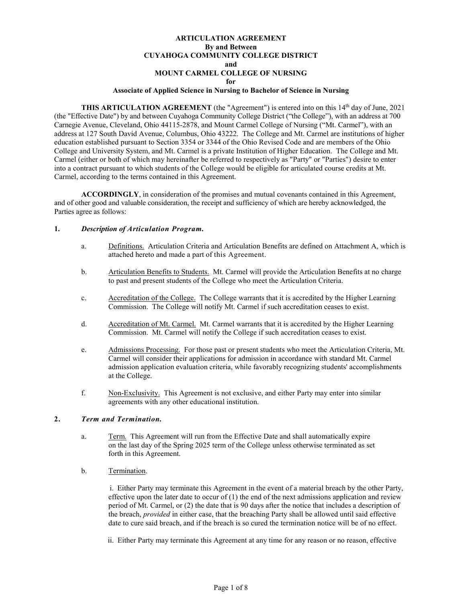## **ARTICULATION AGREEMENT By and Between CUYAHOGA COMMUNITY COLLEGE DISTRICT and MOUNT CARMEL COLLEGE OF NURSING for**

### **Associate of Applied Science in Nursing to Bachelor of Science in Nursing**

**THIS ARTICULATION AGREEMENT** (the "Agreement") is entered into on this 14<sup>th</sup> day of June, 2021 (the "Effective Date") by and between Cuyahoga Community College District ("the College"), with an address at 700 Carnegie Avenue, Cleveland, Ohio 44115-2878, and Mount Carmel College of Nursing ("Mt. Carmel"), with an address at 127 South David Avenue, Columbus, Ohio 43222. The College and Mt. Carmel are institutions of higher education established pursuant to Section 3354 or 3344 of the Ohio Revised Code and are members of the Ohio College and University System, and Mt. Carmel is a private Institution of Higher Education. The College and Mt. Carmel (either or both of which may hereinafter be referred to respectively as "Party" or "Parties") desire to enter into a contract pursuant to which students of the College would be eligible for articulated course credits at Mt. Carmel, according to the terms contained in this Agreement.

**ACCORDINGLY**, in consideration of the promises and mutual covenants contained in this Agreement, and of other good and valuable consideration, the receipt and sufficiency of which are hereby acknowledged, the Parties agree as follows:

#### **1.** *Description of Articulation Program.*

- a. Definitions. Articulation Criteria and Articulation Benefits are defined on Attachment A, which is attached hereto and made a part of this Agreement.
- b. Articulation Benefits to Students. Mt. Carmel will provide the Articulation Benefits at no charge to past and present students of the College who meet the Articulation Criteria.
- c. Accreditation of the College. The College warrants that it is accredited by the Higher Learning Commission. The College will notify Mt. Carmel if such accreditation ceases to exist.
- d. Accreditation of Mt. Carmel. Mt. Carmel warrants that it is accredited by the Higher Learning Commission. Mt. Carmel will notify the College if such accreditation ceases to exist.
- e. Admissions Processing. For those past or present students who meet the Articulation Criteria, Mt. Carmel will consider their applications for admission in accordance with standard Mt. Carmel admission application evaluation criteria, while favorably recognizing students' accomplishments at the College.
- f. Non-Exclusivity. This Agreement is not exclusive, and either Party may enter into similar agreements with any other educational institution.

### **2.** *Term and Termination.*

- a. Term. This Agreement will run from the Effective Date and shall automatically expire on the last day of the Spring 2025 term of the College unless otherwise terminated as set forth in this Agreement.
- b. Termination.

 i. Either Party may terminate this Agreement in the event of a material breach by the other Party, effective upon the later date to occur of  $(1)$  the end of the next admissions application and review period of Mt. Carmel, or (2) the date that is 90 days after the notice that includes a description of the breach, *provided* in either case, that the breaching Party shall be allowed until said effective date to cure said breach, and if the breach is so cured the termination notice will be of no effect.

ii. Either Party may terminate this Agreement at any time for any reason or no reason, effective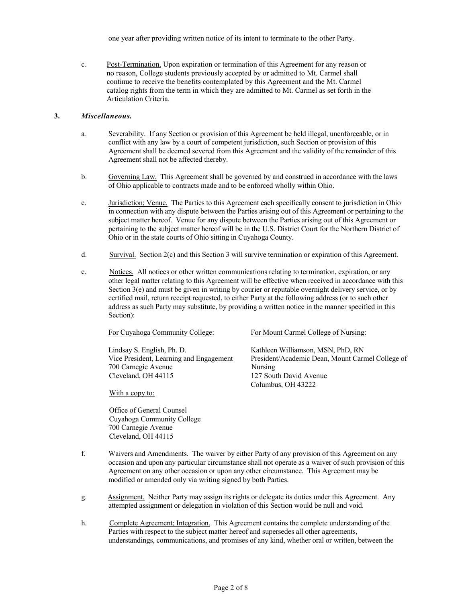one year after providing written notice of its intent to terminate to the other Party.

c. Post-Termination. Upon expiration or termination of this Agreement for any reason or no reason, College students previously accepted by or admitted to Mt. Carmel shall continue to receive the benefits contemplated by this Agreement and the Mt. Carmel catalog rights from the term in which they are admitted to Mt. Carmel as set forth in the Articulation Criteria.

## **3.** *Miscellaneous.*

- a. Severability. If any Section or provision of this Agreement be held illegal, unenforceable, or in conflict with any law by a court of competent jurisdiction, such Section or provision of this Agreement shall be deemed severed from this Agreement and the validity of the remainder of this Agreement shall not be affected thereby.
- b. Governing Law. This Agreement shall be governed by and construed in accordance with the laws of Ohio applicable to contracts made and to be enforced wholly within Ohio.
- c. Jurisdiction; Venue. The Parties to this Agreement each specifically consent to jurisdiction in Ohio in connection with any dispute between the Parties arising out of this Agreement or pertaining to the subject matter hereof. Venue for any dispute between the Parties arising out of this Agreement or pertaining to the subject matter hereof will be in the U.S. District Court for the Northern District of Ohio or in the state courts of Ohio sitting in Cuyahoga County.
- d. Survival. Section 2(c) and this Section 3 will survive termination or expiration of this Agreement.
- e. Notices. All notices or other written communications relating to termination, expiration, or any other legal matter relating to this Agreement will be effective when received in accordance with this Section 3(e) and must be given in writing by courier or reputable overnight delivery service, or by certified mail, return receipt requested, to either Party at the following address (or to such other address as such Party may substitute, by providing a written notice in the manner specified in this Section):

| For Cuyahoga Community College:         | For Mount Carmel College of Nursing:             |
|-----------------------------------------|--------------------------------------------------|
| Lindsay S. English, Ph. D.              | Kathleen Williamson, MSN, PhD, RN                |
| Vice President, Learning and Engagement | President/Academic Dean, Mount Carmel College of |
| 700 Carnegie Avenue                     | Nursing                                          |
| Cleveland, OH 44115                     | 127 South David Avenue                           |
|                                         | Columbus, OH 43222                               |
| With a copy to:                         |                                                  |
| Office of General Counsel               |                                                  |
| Cuvahora Community College              |                                                  |

Cuyahoga Community College 700 Carnegie Avenue Cleveland, OH 44115

- f. Waivers and Amendments. The waiver by either Party of any provision of this Agreement on any occasion and upon any particular circumstance shall not operate as a waiver of such provision of this Agreement on any other occasion or upon any other circumstance. This Agreement may be modified or amended only via writing signed by both Parties.
- g. Assignment. Neither Party may assign its rights or delegate its duties under this Agreement. Any attempted assignment or delegation in violation of this Section would be null and void.
- h. Complete Agreement; Integration. This Agreement contains the complete understanding of the Parties with respect to the subject matter hereof and supersedes all other agreements, understandings, communications, and promises of any kind, whether oral or written, between the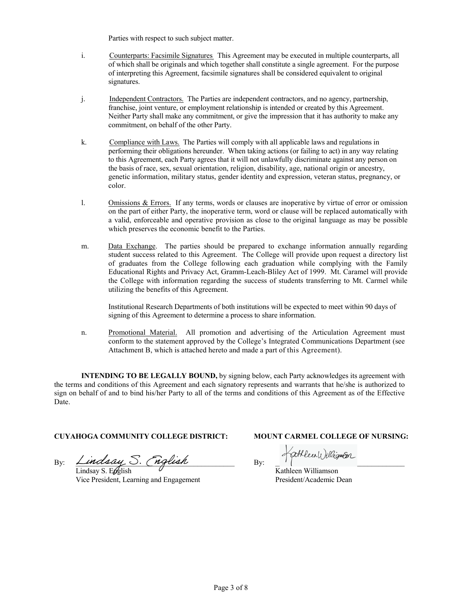Parties with respect to such subject matter.

- i. Counterparts: Facsimile Signatures. This Agreement may be executed in multiple counterparts, all of which shall be originals and which together shall constitute a single agreement. For the purpose of interpreting this Agreement, facsimile signatures shall be considered equivalent to original signatures.
- j. Independent Contractors. The Parties are independent contractors, and no agency, partnership, franchise, joint venture, or employment relationship is intended or created by this Agreement. Neither Party shall make any commitment, or give the impression that it has authority to make any commitment, on behalf of the other Party.
- k. Compliance with Laws. The Parties will comply with all applicable laws and regulations in performing their obligations hereunder. When taking actions (or failing to act) in any way relating to this Agreement, each Party agrees that it will not unlawfully discriminate against any person on the basis of race, sex, sexual orientation, religion, disability, age, national origin or ancestry, genetic information, military status, gender identity and expression, veteran status, pregnancy, or color.
- l. Omissions & Errors. If any terms, words or clauses are inoperative by virtue of error or omission on the part of either Party, the inoperative term, word or clause will be replaced automatically with a valid, enforceable and operative provision as close to the original language as may be possible which preserves the economic benefit to the Parties.
- m. Data Exchange. The parties should be prepared to exchange information annually regarding student success related to this Agreement. The College will provide upon request a directory list of graduates from the College following each graduation while complying with the Family Educational Rights and Privacy Act, Gramm-Leach-Bliley Act of 1999. Mt. Caramel will provide the College with information regarding the success of students transferring to Mt. Carmel while utilizing the benefits of this Agreement.

Institutional Research Departments of both institutions will be expected to meet within 90 days of signing of this Agreement to determine a process to share information.

n. Promotional Material. All promotion and advertising of the Articulation Agreement must conform to the statement approved by the College's Integrated Communications Department (see Attachment B, which is attached hereto and made a part of this Agreement).

**INTENDING TO BE LEGALLY BOUND,** by signing below, each Party acknowledges its agreement with the terms and conditions of this Agreement and each signatory represents and warrants that he/she is authorized to sign on behalf of and to bind his/her Party to all of the terms and conditions of this Agreement as of the Effective Date.

# **CUYAHOGA COMMUNITY COLLEGE DISTRICT: MOUNT CARMEL COLLEGE OF NURSING:**

By:  $\angle$ *indsay*  $\cup$ . (*nglish*  $\Box$  By:  $\Box$ 

Lindsay S. Egglish Vice President, Learning and Engagement

Kathleen Williamson President/Academic Dean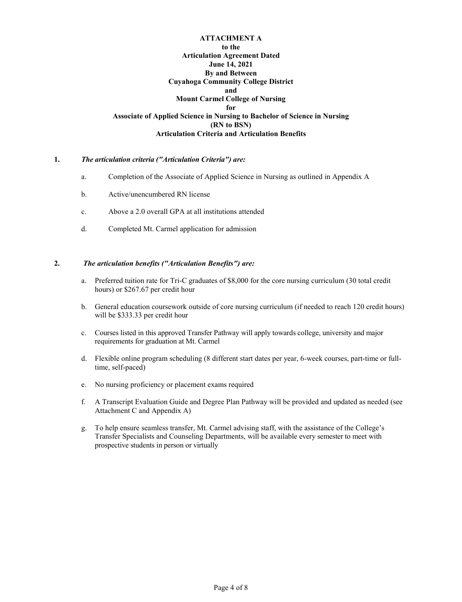## **ATTACHMENT A to the Articulation Agreement Dated June 14, 2021 By and Between Cuyahoga Community College District and Mount Carmel College of Nursing for Associate of Applied Science in Nursing to Bachelor of Science in Nursing (RN to BSN) Articulation Criteria and Articulation Benefits**

## **1.** *The articulation criteria ("Articulation Criteria") are:*

- a. Completion of the Associate of Applied Science in Nursing as outlined in Appendix A
- b. Active/unencumbered RN license
- c. Above a 2.0 overall GPA at all institutions attended
- d. Completed Mt. Carmel application for admission

## **2.** *The articulation benefits ("Articulation Benefits") are:*

- a. Preferred tuition rate for Tri-C graduates of \$8,000 for the core nursing curriculum (30 total credit hours) or \$267.67 per credit hour
- b. General education coursework outside of core nursing curriculum (if needed to reach 120 credit hours) will be \$333.33 per credit hour
- c. Courses listed in this approved Transfer Pathway will apply towards college, university and major requirements for graduation at Mt. Carmel
- d. Flexible online program scheduling (8 different start dates per year, 6-week courses, part-time or fulltime, self-paced)
- e. No nursing proficiency or placement exams required
- f. A Transcript Evaluation Guide and Degree Plan Pathway will be provided and updated as needed (see Attachment C and Appendix A)
- g. To help ensure seamless transfer, Mt. Carmel advising staff, with the assistance of the College's Transfer Specialists and Counseling Departments, will be available every semester to meet with prospective students in person or virtually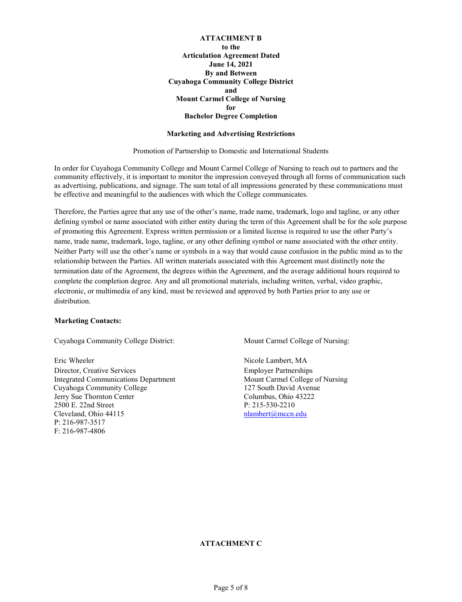## **ATTACHMENT B to the Articulation Agreement Dated June 14, 2021 By and Between Cuyahoga Community College District and Mount Carmel College of Nursing for Bachelor Degree Completion**

#### **Marketing and Advertising Restrictions**

Promotion of Partnership to Domestic and International Students

In order for Cuyahoga Community College and Mount Carmel College of Nursing to reach out to partners and the community effectively, it is important to monitor the impression conveyed through all forms of communication such as advertising, publications, and signage. The sum total of all impressions generated by these communications must be effective and meaningful to the audiences with which the College communicates.

Therefore, the Parties agree that any use of the other's name, trade name, trademark, logo and tagline, or any other defining symbol or name associated with either entity during the term of this Agreement shall be for the sole purpose of promoting this Agreement. Express written permission or a limited license is required to use the other Party's name, trade name, trademark, logo, tagline, or any other defining symbol or name associated with the other entity. Neither Party will use the other's name or symbols in a way that would cause confusion in the public mind as to the relationship between the Parties. All written materials associated with this Agreement must distinctly note the termination date of the Agreement, the degrees within the Agreement, and the average additional hours required to complete the completion degree. Any and all promotional materials, including written, verbal, video graphic, electronic, or multimedia of any kind, must be reviewed and approved by both Parties prior to any use or distribution.

#### **Marketing Contacts:**

Cuyahoga Community College District: Mount Carmel College of Nursing:

Eric Wheeler Nicole Lambert, MA Director, Creative Services Employer Partnerships Integrated Communications Department<br>
Cuvahoga Community College 127 South David Avenue<br>
127 South David Avenue Cuyahoga Community College Jerry Sue Thornton Center Columbus, Ohio 43222 2500 E. 22nd Street P: 215-530-2210 Cleveland, Ohio 44115 [nlambert@mccn.edu](mailto:nlambert@mccn.edu) P: 216-987-3517 F: 216-987-4806

#### **ATTACHMENT C**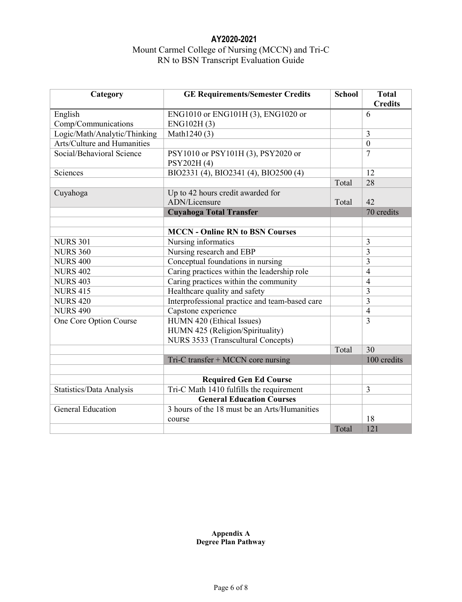# **AY2020-2021** Mount Carmel College of Nursing (MCCN) and Tri-C RN to BSN Transcript Evaluation Guide

| Category                     | <b>GE Requirements/Semester Credits</b>        | <b>School</b> | <b>Total</b><br><b>Credits</b> |
|------------------------------|------------------------------------------------|---------------|--------------------------------|
| English                      | ENG1010 or ENG101H (3), ENG1020 or             |               | 6                              |
| Comp/Communications          | ENG102H(3)                                     |               |                                |
| Logic/Math/Analytic/Thinking | Math1240 (3)                                   |               | $\overline{3}$                 |
| Arts/Culture and Humanities  |                                                |               | $\boldsymbol{0}$               |
| Social/Behavioral Science    | PSY1010 or PSY101H (3), PSY2020 or             |               | $\overline{7}$                 |
|                              | PSY202H(4)                                     |               |                                |
| Sciences                     | BIO2331 (4), BIO2341 (4), BIO2500 (4)          |               | 12                             |
|                              |                                                | Total         | 28                             |
| Cuyahoga                     | Up to 42 hours credit awarded for              |               |                                |
|                              | ADN/Licensure                                  | Total         | 42                             |
|                              | <b>Cuyahoga Total Transfer</b>                 |               | 70 credits                     |
|                              |                                                |               |                                |
|                              | <b>MCCN - Online RN to BSN Courses</b>         |               |                                |
| <b>NURS 301</b>              | Nursing informatics                            |               | 3                              |
| <b>NURS 360</b>              | Nursing research and EBP                       |               | $\overline{3}$                 |
| <b>NURS 400</b>              | Conceptual foundations in nursing              |               | $\overline{3}$                 |
| <b>NURS 402</b>              | Caring practices within the leadership role    |               | $\overline{4}$                 |
| <b>NURS 403</b>              | Caring practices within the community          |               | $\overline{4}$                 |
| <b>NURS 415</b>              | Healthcare quality and safety                  |               | $\overline{3}$                 |
| <b>NURS 420</b>              | Interprofessional practice and team-based care |               | $\overline{3}$                 |
| <b>NURS 490</b>              | Capstone experience                            |               | $\overline{4}$                 |
| One Core Option Course       | HUMN 420 (Ethical Issues)                      |               | $\overline{3}$                 |
|                              | HUMN 425 (Religion/Spirituality)               |               |                                |
|                              | NURS 3533 (Transcultural Concepts)             |               |                                |
|                              |                                                | Total         | 30                             |
|                              | $Tri-C$ transfer + MCCN core nursing           |               | 100 credits                    |
|                              |                                                |               |                                |
|                              | <b>Required Gen Ed Course</b>                  |               |                                |
| Statistics/Data Analysis     | Tri-C Math 1410 fulfills the requirement       |               | 3                              |
|                              | <b>General Education Courses</b>               |               |                                |
| <b>General Education</b>     | 3 hours of the 18 must be an Arts/Humanities   |               |                                |
|                              | course                                         |               | 18                             |
|                              |                                                | Total         | 121                            |

## **Appendix A Degree Plan Pathway**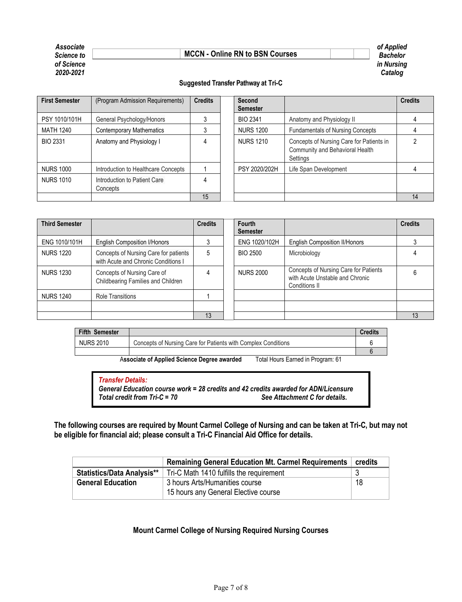#### *Associate of Applied*  **Science to Example 2 Apple 2 Apple 2 Apple 2 Apple 2 Apple 2 Apple 2 Apple 2 Apple 2 Apple 2 Apple 2 Apple 2 Apple 2 Apple 2 Apple 2 Apple 2 Apple 2 Apple 2 Apple 2 Apple 2 Apple 2 Apple 2 Apple 2 Apple 2 Apple 2 Apple**



## **Suggested Transfer Pathway at Tri-C**

| <b>First Semester</b> | (Program Admission Requirements)         | <b>Credits</b> | Second<br><b>Semester</b> |                                                                                         | <b>Credits</b> |
|-----------------------|------------------------------------------|----------------|---------------------------|-----------------------------------------------------------------------------------------|----------------|
| PSY 1010/101H         | General Psychology/Honors                |                | <b>BIO 2341</b>           | Anatomy and Physiology II                                                               |                |
| MATH 1240             | <b>Contemporary Mathematics</b>          |                | <b>NURS 1200</b>          | <b>Fundamentals of Nursing Concepts</b>                                                 |                |
| <b>BIO 2331</b>       | Anatomy and Physiology I                 |                | <b>NURS 1210</b>          | Concepts of Nursing Care for Patients in<br>Community and Behavioral Health<br>Settings |                |
| <b>NURS 1000</b>      | Introduction to Healthcare Concepts      |                | PSY 2020/202H             | Life Span Development                                                                   |                |
| <b>NURS 1010</b>      | Introduction to Patient Care<br>Concepts |                |                           |                                                                                         |                |
|                       |                                          | 15             |                           |                                                                                         | 14             |

| <b>Third Semester</b> |                                                                              | <b>Credits</b> | Fourth<br><b>Semester</b> |                                                                                           | <b>Credits</b> |
|-----------------------|------------------------------------------------------------------------------|----------------|---------------------------|-------------------------------------------------------------------------------------------|----------------|
| ENG 1010/101H         | <b>English Composition I/Honors</b>                                          |                | ENG 1020/102H             | <b>English Composition II/Honors</b>                                                      |                |
| <b>NURS 1220</b>      | Concepts of Nursing Care for patients<br>with Acute and Chronic Conditions I | 5              | <b>BIO 2500</b>           | Microbiology                                                                              |                |
| <b>NURS 1230</b>      | Concepts of Nursing Care of<br>Childbearing Families and Children            |                | <b>NURS 2000</b>          | Concepts of Nursing Care for Patients<br>with Acute Unstable and Chronic<br>Conditions II |                |
| <b>NURS 1240</b>      | <b>Role Transitions</b>                                                      |                |                           |                                                                                           |                |
|                       |                                                                              |                |                           |                                                                                           |                |
|                       |                                                                              | 13             |                           |                                                                                           | 13             |

| <b>Fifth Semester</b> |                                                               | Credits |
|-----------------------|---------------------------------------------------------------|---------|
| <b>NURS 2010</b>      | Concepts of Nursing Care for Patients with Complex Conditions |         |
|                       |                                                               |         |

A**ssociate of Applied Science Degree awarded** Total Hours Earned in Program: 61

*Transfer Details: General Education course work = 28 credits and 42 credits awarded for ADN/Licensure Total credit from Tri-C = 70 See Attachment C for details.*

**The following courses are required by Mount Carmel College of Nursing and can be taken at Tri-C, but may not be eligible for financial aid; please consult a Tri-C Financial Aid Office for details.**

|                                   | <b>Remaining General Education Mt. Carmel Requirements</b>             | credits |
|-----------------------------------|------------------------------------------------------------------------|---------|
| <b>Statistics/Data Analysis**</b> | Tri-C Math 1410 fulfills the requirement                               |         |
| <b>General Education</b>          | 3 hours Arts/Humanities course<br>15 hours any General Elective course | 18      |

# **Mount Carmel College of Nursing Required Nursing Courses**